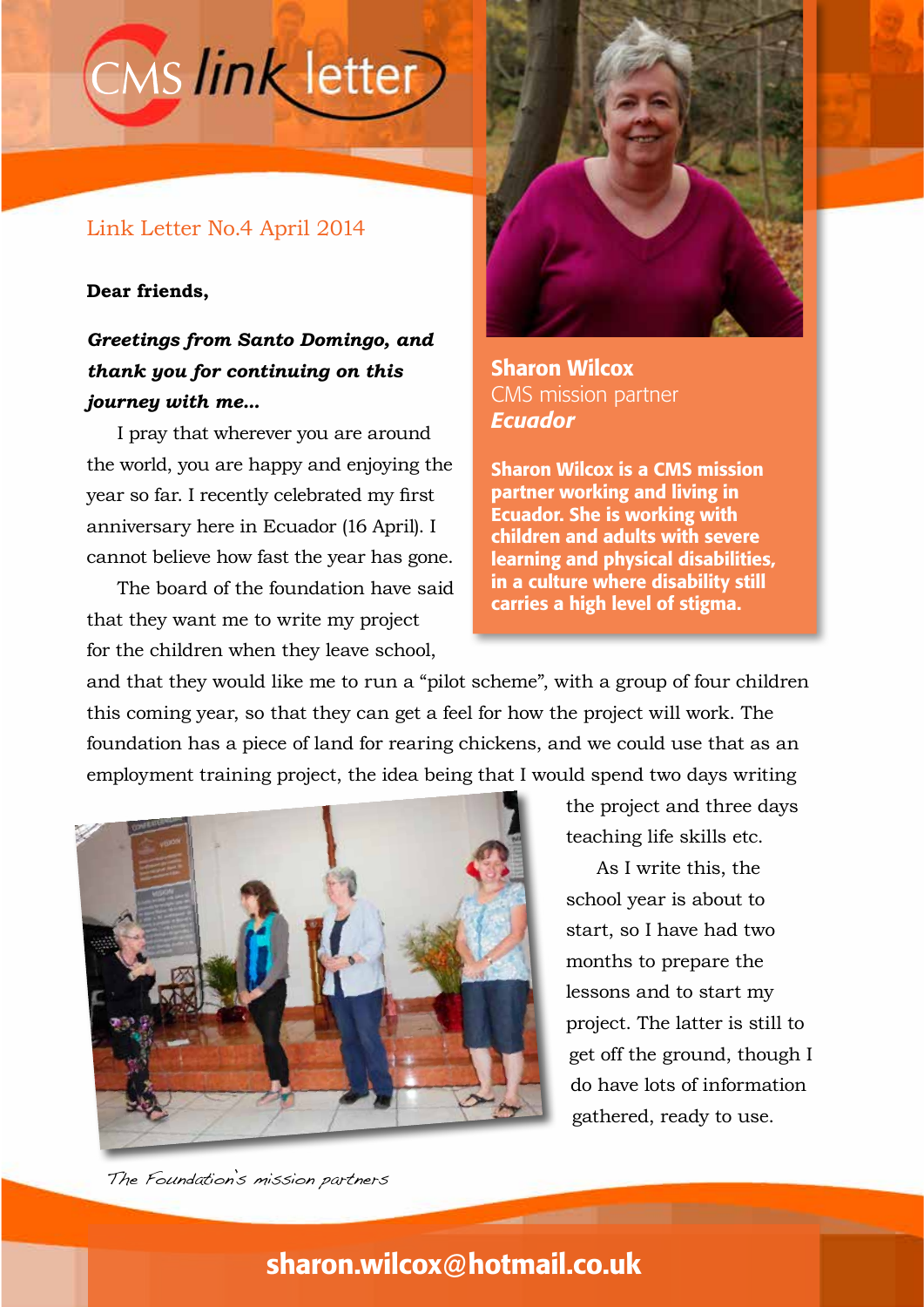# CMS link letter

### Link Letter No.4 April 2014

#### **Dear friends,**

## *Greetings from Santo Domingo, and thank you for continuing on this journey with me...*

I pray that wherever you are around the world, you are happy and enjoying the year so far. I recently celebrated my first anniversary here in Ecuador (16 April). I cannot believe how fast the year has gone.

The board of the foundation have said that they want me to write my project for the children when they leave school,



Sharon Wilcox CMS mission partner *Ecuador*

Sharon Wilcox is a CMS mission partner working and living in Ecuador. She is working with children and adults with severe learning and physical disabilities, in a culture where disability still carries a high level of stigma.

and that they would like me to run a "pilot scheme", with a group of four children this coming year, so that they can get a feel for how the project will work. The foundation has a piece of land for rearing chickens, and we could use that as an employment training project, the idea being that I would spend two days writing



the project and three days teaching life skills etc.

As I write this, the school year is about to start, so I have had two months to prepare the lessons and to start my project. The latter is still to get off the ground, though I do have lots of information gathered, ready to use.

The Foundation's mission partners

# sharon.wilcox@hotmail.co.uk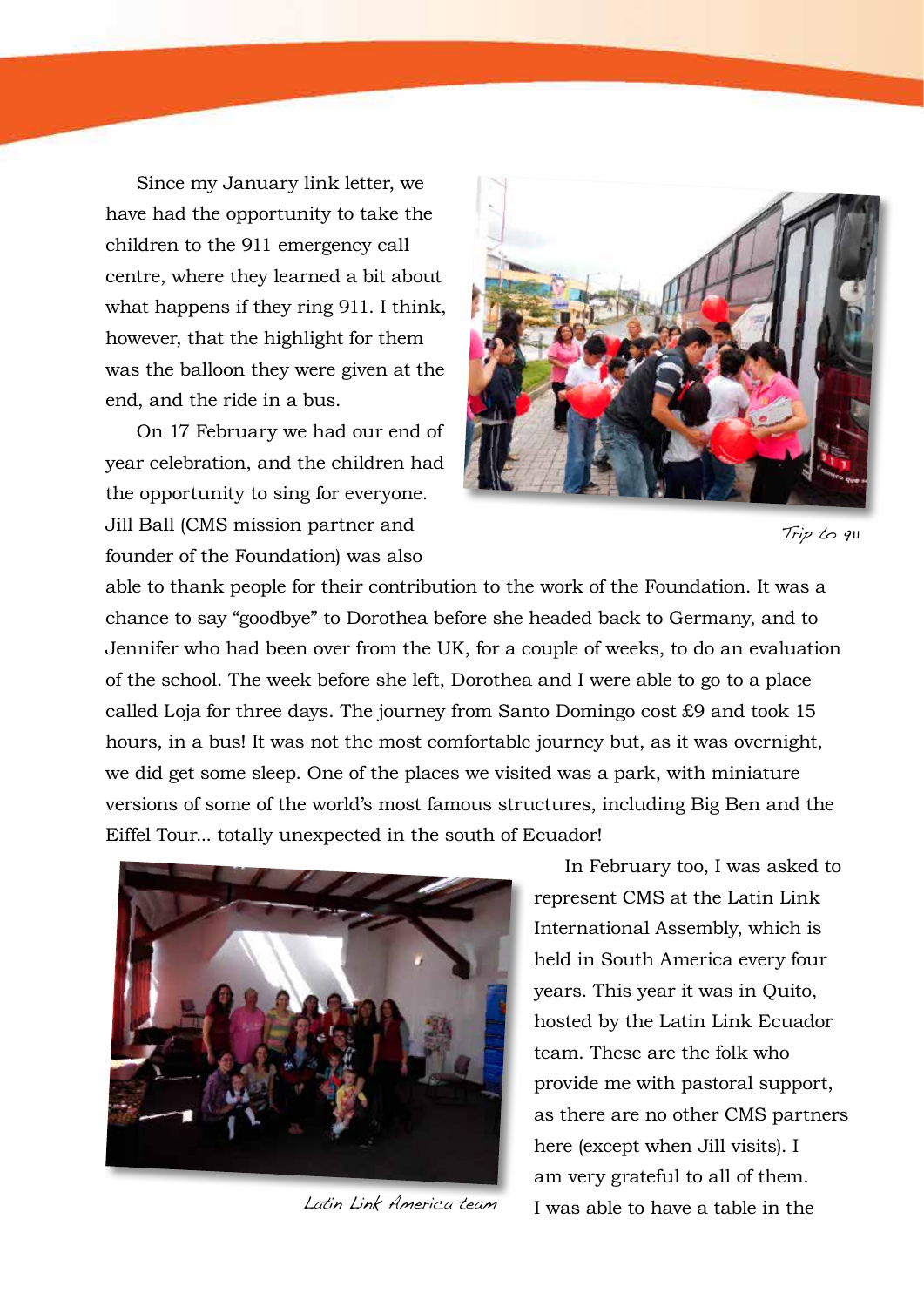Since my January link letter, we have had the opportunity to take the children to the 911 emergency call centre, where they learned a bit about what happens if they ring 911. I think, however, that the highlight for them was the balloon they were given at the end, and the ride in a bus.

On 17 February we had our end of year celebration, and the children had the opportunity to sing for everyone. Jill Ball (CMS mission partner and founder of the Foundation) was also



Trip to 911

able to thank people for their contribution to the work of the Foundation. It was a chance to say "goodbye" to Dorothea before she headed back to Germany, and to Jennifer who had been over from the UK, for a couple of weeks, to do an evaluation of the school. The week before she left, Dorothea and I were able to go to a place called Loja for three days. The journey from Santo Domingo cost £9 and took 15 hours, in a bus! It was not the most comfortable journey but, as it was overnight, we did get some sleep. One of the places we visited was a park, with miniature versions of some of the world's most famous structures, including Big Ben and the Eiffel Tour... totally unexpected in the south of Ecuador!



Latin Link America team

In February too, I was asked to represent CMS at the Latin Link International Assembly, which is held in South America every four years. This year it was in Quito, hosted by the Latin Link Ecuador team. These are the folk who provide me with pastoral support, as there are no other CMS partners here (except when Jill visits). I am very grateful to all of them. I was able to have a table in the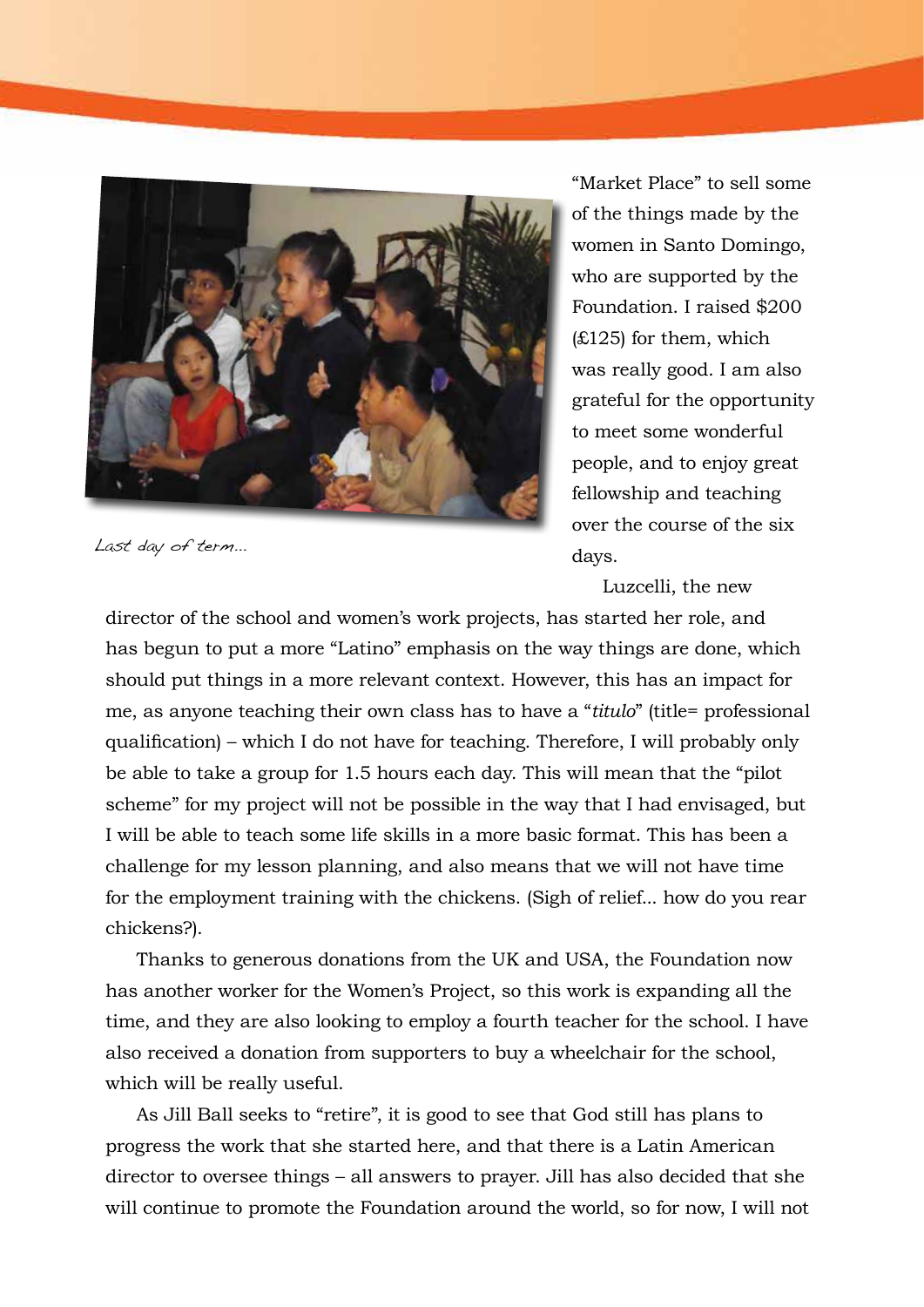

Last day of term...

"Market Place" to sell some of the things made by the women in Santo Domingo, who are supported by the Foundation. I raised \$200 (£125) for them, which was really good. I am also grateful for the opportunity to meet some wonderful people, and to enjoy great fellowship and teaching over the course of the six days.

Luzcelli, the new

director of the school and women's work projects, has started her role, and has begun to put a more "Latino" emphasis on the way things are done, which should put things in a more relevant context. However, this has an impact for me, as anyone teaching their own class has to have a "*titulo*" (title= professional qualification) – which I do not have for teaching. Therefore, I will probably only be able to take a group for 1.5 hours each day. This will mean that the "pilot scheme" for my project will not be possible in the way that I had envisaged, but I will be able to teach some life skills in a more basic format. This has been a challenge for my lesson planning, and also means that we will not have time for the employment training with the chickens. (Sigh of relief... how do you rear chickens?).

Thanks to generous donations from the UK and USA, the Foundation now has another worker for the Women's Project, so this work is expanding all the time, and they are also looking to employ a fourth teacher for the school. I have also received a donation from supporters to buy a wheelchair for the school, which will be really useful.

As Jill Ball seeks to "retire", it is good to see that God still has plans to progress the work that she started here, and that there is a Latin American director to oversee things – all answers to prayer. Jill has also decided that she will continue to promote the Foundation around the world, so for now, I will not